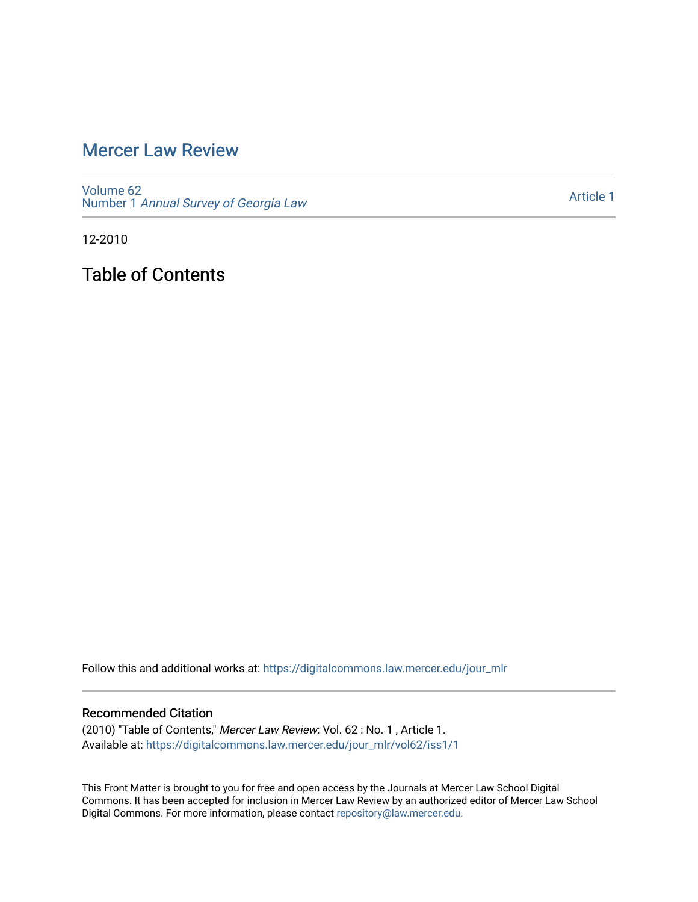# [Mercer Law Review](https://digitalcommons.law.mercer.edu/jour_mlr)

[Volume 62](https://digitalcommons.law.mercer.edu/jour_mlr/vol62) Number 1 [Annual Survey of Georgia Law](https://digitalcommons.law.mercer.edu/jour_mlr/vol62/iss1) 

[Article 1](https://digitalcommons.law.mercer.edu/jour_mlr/vol62/iss1/1) 

12-2010

Table of Contents

Follow this and additional works at: [https://digitalcommons.law.mercer.edu/jour\\_mlr](https://digitalcommons.law.mercer.edu/jour_mlr?utm_source=digitalcommons.law.mercer.edu%2Fjour_mlr%2Fvol62%2Fiss1%2F1&utm_medium=PDF&utm_campaign=PDFCoverPages)

#### Recommended Citation

(2010) "Table of Contents," Mercer Law Review: Vol. 62 : No. 1 , Article 1. Available at: [https://digitalcommons.law.mercer.edu/jour\\_mlr/vol62/iss1/1](https://digitalcommons.law.mercer.edu/jour_mlr/vol62/iss1/1?utm_source=digitalcommons.law.mercer.edu%2Fjour_mlr%2Fvol62%2Fiss1%2F1&utm_medium=PDF&utm_campaign=PDFCoverPages)

This Front Matter is brought to you for free and open access by the Journals at Mercer Law School Digital Commons. It has been accepted for inclusion in Mercer Law Review by an authorized editor of Mercer Law School Digital Commons. For more information, please contact [repository@law.mercer.edu](mailto:repository@law.mercer.edu).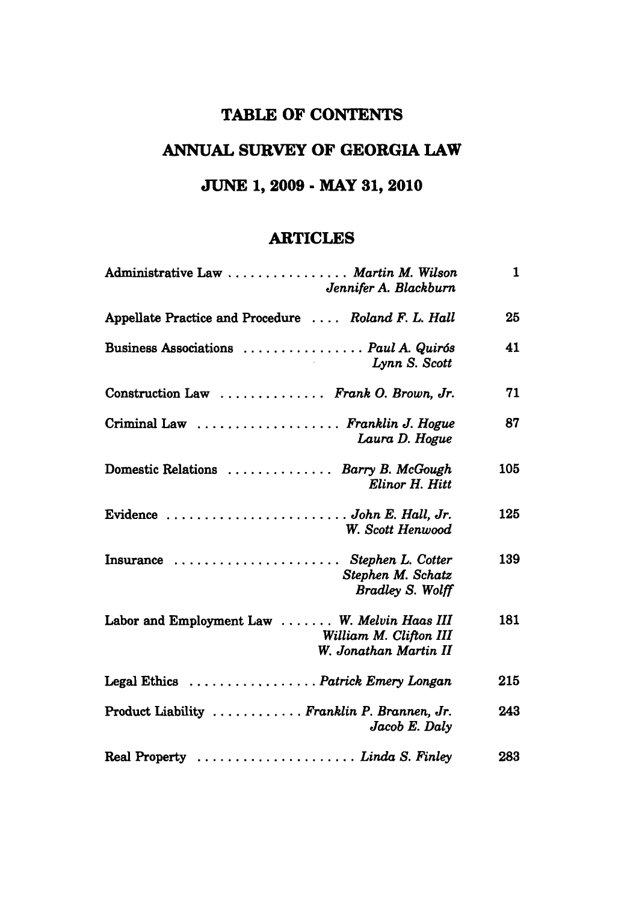### **TABLE OF CONTENTS**

# **ANNUAL SURVEY OF GEORGIA LAW**

# **JUNE 1, 2009 - MAY 31, 2010**

#### **ARTICLES**

| Administrative Law  Martin M. Wilson<br>Jennifer A. Blackburn                                   | 1   |
|-------------------------------------------------------------------------------------------------|-----|
| Appellate Practice and Procedure  Roland F. L. Hall                                             | 25  |
| Business Associations  Paul A. Quirós<br>Lynn S. Scott                                          | 41  |
| Construction Law  Frank O. Brown, Jr.                                                           | 71  |
| Criminal Law  Franklin J. Hogue<br>Laura D. Hogue                                               | 87  |
| Domestic Relations  Barry B. McGough<br>Elinor H. Hitt                                          | 105 |
| Evidence  John E. Hall, Jr.<br>W. Scott Henwood                                                 | 125 |
| Insurance  Stephen L. Cotter<br>Stephen M. Schatz<br><b>Bradley S. Wolff</b>                    | 139 |
| Labor and Employment Law  W. Melvin Haas III<br>William M. Clifton III<br>W. Jonathan Martin II | 181 |
| Legal Ethics Patrick Emery Longan                                                               | 215 |
| Product Liability  Franklin P. Brannen, Jr.<br>Jacob E. Daly                                    | 243 |
| Real Property  Linda S. Finley                                                                  | 283 |